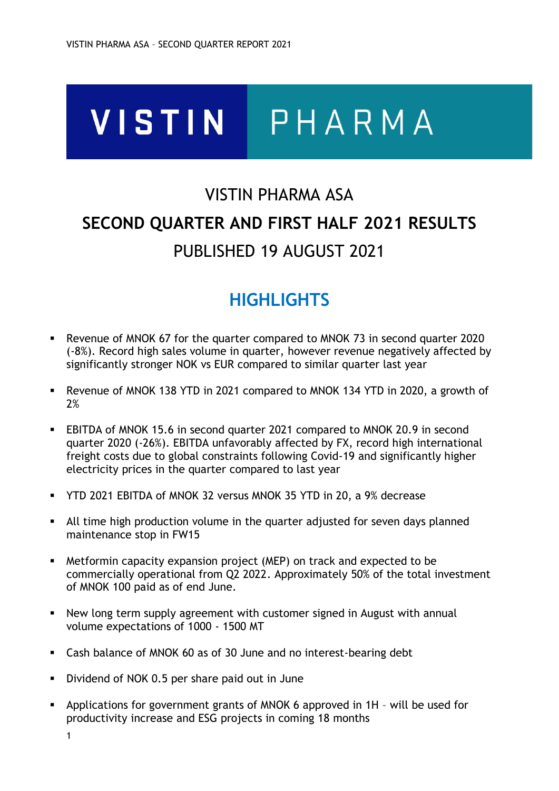# **VISTIN** PHARMA

# VISTIN PHARMA ASA **SECOND QUARTER AND FIRST HALF 2021 RESULTS** PUBLISHED 19 AUGUST 2021

# **HIGHLIGHTS**

- Revenue of MNOK 67 for the quarter compared to MNOK 73 in second quarter 2020 (-8%). Record high sales volume in quarter, however revenue negatively affected by significantly stronger NOK vs EUR compared to similar quarter last year
- Revenue of MNOK 138 YTD in 2021 compared to MNOK 134 YTD in 2020, a growth of 2%
- EBITDA of MNOK 15.6 in second quarter 2021 compared to MNOK 20.9 in second quarter 2020 (-26%). EBITDA unfavorably affected by FX, record high international freight costs due to global constraints following Covid-19 and significantly higher electricity prices in the quarter compared to last year
- YTD 2021 EBITDA of MNOK 32 versus MNOK 35 YTD in 20, a 9% decrease
- All time high production volume in the quarter adjusted for seven days planned maintenance stop in FW15
- Metformin capacity expansion project (MEP) on track and expected to be commercially operational from Q2 2022. Approximately 50% of the total investment of MNOK 100 paid as of end June.
- New long term supply agreement with customer signed in August with annual volume expectations of 1000 - 1500 MT
- Cash balance of MNOK 60 as of 30 June and no interest-bearing debt
- Dividend of NOK 0.5 per share paid out in June
- Applications for government grants of MNOK 6 approved in 1H will be used for productivity increase and ESG projects in coming 18 months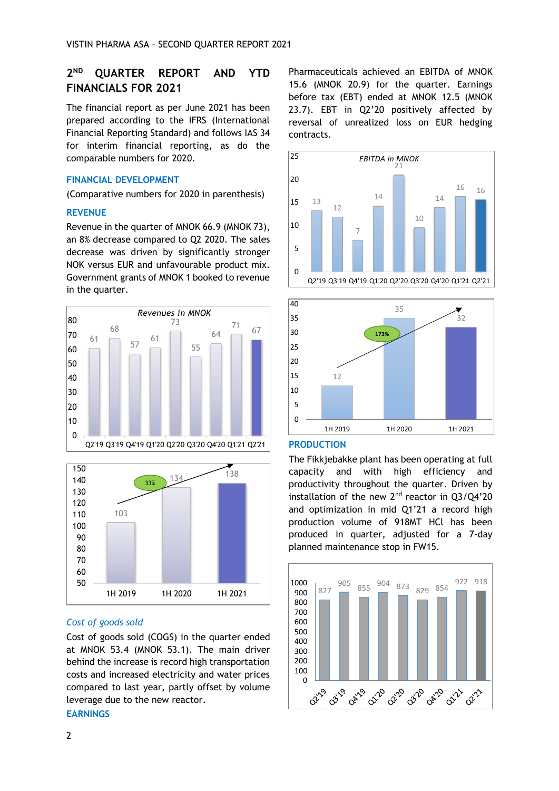#### **2**ND **ND QUARTER REPORT AND YTD FINANCIALS FOR 2021**

The financial report as per June 2021 has been prepared according to the IFRS (International Financial Reporting Standard) and follows IAS 34 for interim financial reporting, as do the comparable numbers for 2020.

## **FINANCIAL DEVELOPMENT**

(Comparative numbers for 2020 in parenthesis)

## **REVENUE**

Revenue in the quarter of MNOK 66.9 (MNOK 73), an 8% decrease compared to Q2 2020. The sales decrease was driven by significantly stronger NOK versus EUR and unfavourable product mix. Government grants of MNOK 1 booked to revenue in the quarter.





## *Cost of goods sold*

Cost of goods sold (COGS) in the quarter ended at MNOK 53.4 (MNOK 53.1). The main driver behind the increase is record high transportation costs and increased electricity and water prices compared to last year, partly offset by volume leverage due to the new reactor.

## **EARNINGS**

Pharmaceuticals achieved an EBITDA of MNOK 15.6 (MNOK 20.9) for the quarter. Earnings before tax (EBT) ended at MNOK 12.5 (MNOK 23.7). EBT in Q2'20 positively affected by reversal of unrealized loss on EUR hedging contracts.





### **PRODUCTION**

The Fikkjebakke plant has been operating at full capacity and with high efficiency and productivity throughout the quarter. Driven by installation of the new  $2<sup>nd</sup>$  reactor in  $Q3/Q4'20$ and optimization in mid Q1'21 a record high production volume of 918MT HCl has been produced in quarter, adjusted for a 7-day planned maintenance stop in FW15.

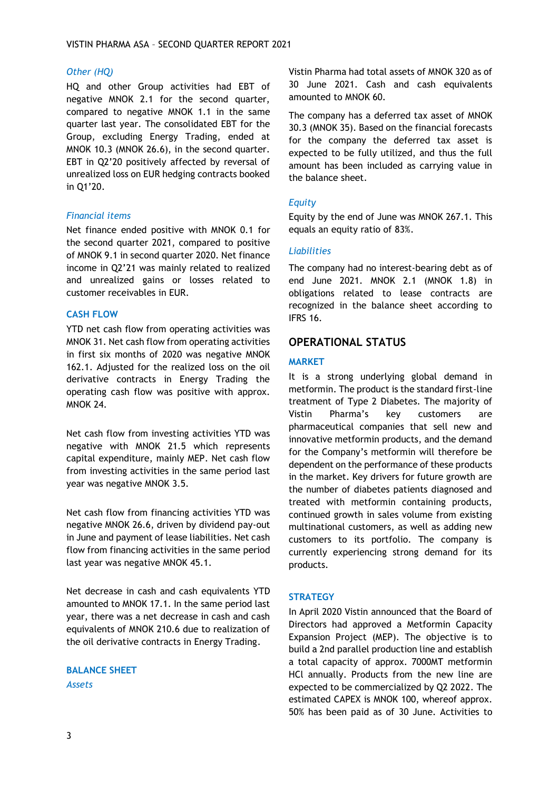## *Other (HQ)*

HQ and other Group activities had EBT of negative MNOK 2.1 for the second quarter, compared to negative MNOK 1.1 in the same quarter last year. The consolidated EBT for the Group, excluding Energy Trading, ended at MNOK 10.3 (MNOK 26.6), in the second quarter. EBT in Q2'20 positively affected by reversal of unrealized loss on EUR hedging contracts booked in Q1'20.

## *Financial items*

Net finance ended positive with MNOK 0.1 for the second quarter 2021, compared to positive of MNOK 9.1 in second quarter 2020. Net finance income in Q2'21 was mainly related to realized and unrealized gains or losses related to customer receivables in EUR.

## **CASH FLOW**

YTD net cash flow from operating activities was MNOK 31. Net cash flow from operating activities in first six months of 2020 was negative MNOK 162.1. Adjusted for the realized loss on the oil derivative contracts in Energy Trading the operating cash flow was positive with approx. MNOK 24.

Net cash flow from investing activities YTD was negative with MNOK 21.5 which represents capital expenditure, mainly MEP. Net cash flow from investing activities in the same period last year was negative MNOK 3.5.

Net cash flow from financing activities YTD was negative MNOK 26.6, driven by dividend pay-out in June and payment of lease liabilities. Net cash flow from financing activities in the same period last year was negative MNOK 45.1.

Net decrease in cash and cash equivalents YTD amounted to MNOK 17.1. In the same period last year, there was a net decrease in cash and cash equivalents of MNOK 210.6 due to realization of the oil derivative contracts in Energy Trading.

## **BALANCE SHEET** *Assets*

Vistin Pharma had total assets of MNOK 320 as of 30 June 2021. Cash and cash equivalents amounted to MNOK 60.

The company has a deferred tax asset of MNOK 30.3 (MNOK 35). Based on the financial forecasts for the company the deferred tax asset is expected to be fully utilized, and thus the full amount has been included as carrying value in the balance sheet.

## *Equity*

Equity by the end of June was MNOK 267.1. This equals an equity ratio of 83%.

## *Liabilities*

The company had no interest-bearing debt as of end June 2021. MNOK 2.1 (MNOK 1.8) in obligations related to lease contracts are recognized in the balance sheet according to IFRS 16.

## **OPERATIONAL STATUS**

## **MARKET**

It is a strong underlying global demand in metformin. The product is the standard first-line treatment of Type 2 Diabetes. The majority of Vistin Pharma's key customers are pharmaceutical companies that sell new and innovative metformin products, and the demand for the Company's metformin will therefore be dependent on the performance of these products in the market. Key drivers for future growth are the number of diabetes patients diagnosed and treated with metformin containing products, continued growth in sales volume from existing multinational customers, as well as adding new customers to its portfolio. The company is currently experiencing strong demand for its products.

## **STRATEGY**

In April 2020 Vistin announced that the Board of Directors had approved a Metformin Capacity Expansion Project (MEP). The objective is to build a 2nd parallel production line and establish a total capacity of approx. 7000MT metformin HCl annually. Products from the new line are expected to be commercialized by Q2 2022. The estimated CAPEX is MNOK 100, whereof approx. 50% has been paid as of 30 June. Activities to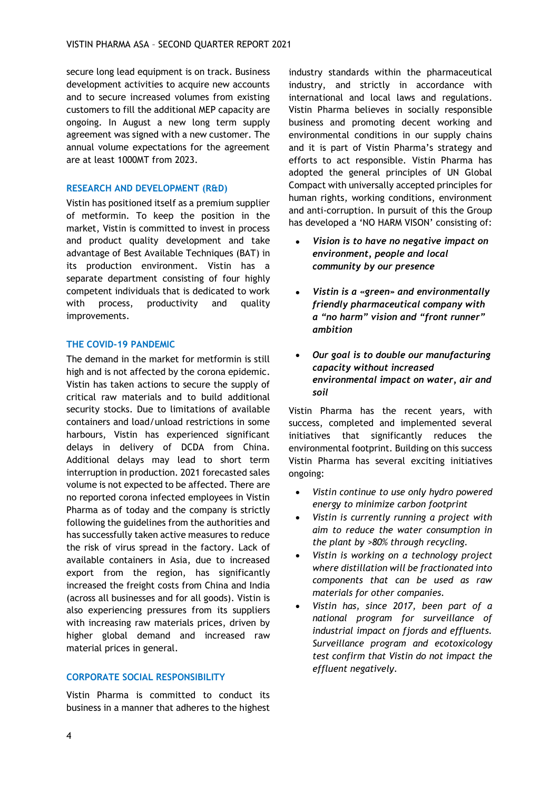secure long lead equipment is on track. Business development activities to acquire new accounts and to secure increased volumes from existing customers to fill the additional MEP capacity are ongoing. In August a new long term supply agreement was signed with a new customer. The annual volume expectations for the agreement are at least 1000MT from 2023.

## **RESEARCH AND DEVELOPMENT (R&D)**

Vistin has positioned itself as a premium supplier of metformin. To keep the position in the market, Vistin is committed to invest in process and product quality development and take advantage of Best Available Techniques (BAT) in its production environment. Vistin has a separate department consisting of four highly competent individuals that is dedicated to work with process, productivity and quality improvements.

## **THE COVID-19 PANDEMIC**

The demand in the market for metformin is still high and is not affected by the corona epidemic. Vistin has taken actions to secure the supply of critical raw materials and to build additional security stocks. Due to limitations of available containers and load/unload restrictions in some harbours, Vistin has experienced significant delays in delivery of DCDA from China. Additional delays may lead to short term interruption in production. 2021 forecasted sales volume is not expected to be affected. There are no reported corona infected employees in Vistin Pharma as of today and the company is strictly following the guidelines from the authorities and has successfully taken active measures to reduce the risk of virus spread in the factory. Lack of available containers in Asia, due to increased export from the region, has significantly increased the freight costs from China and India (across all businesses and for all goods). Vistin is also experiencing pressures from its suppliers with increasing raw materials prices, driven by higher global demand and increased raw material prices in general.

## **CORPORATE SOCIAL RESPONSIBILITY**

Vistin Pharma is committed to conduct its business in a manner that adheres to the highest industry standards within the pharmaceutical industry, and strictly in accordance with international and local laws and regulations. Vistin Pharma believes in socially responsible business and promoting decent working and environmental conditions in our supply chains and it is part of Vistin Pharma's strategy and efforts to act responsible. Vistin Pharma has adopted the general principles of UN Global Compact with universally accepted principles for human rights, working conditions, environment and anti-corruption. In pursuit of this the Group has developed a 'NO HARM VISON' consisting of:

- *Vision is to have no negative impact on environment, people and local community by our presence*
- *Vistin is a «green» and environmentally friendly pharmaceutical company with a "no harm" vision and "front runner" ambition*
- *Our goal is to double our manufacturing capacity without increased environmental impact on water, air and soil*

Vistin Pharma has the recent years, with success, completed and implemented several initiatives that significantly reduces the environmental footprint. Building on this success Vistin Pharma has several exciting initiatives ongoing:

- *Vistin continue to use only hydro powered energy to minimize carbon footprint*
- *Vistin is currently running a project with aim to reduce the water consumption in the plant by >80% through recycling.*
- *Vistin is working on a technology project where distillation will be fractionated into components that can be used as raw materials for other companies.*
- *Vistin has, since 2017, been part of a national program for surveillance of industrial impact on fjords and effluents. Surveillance program and ecotoxicology test confirm that Vistin do not impact the effluent negatively.*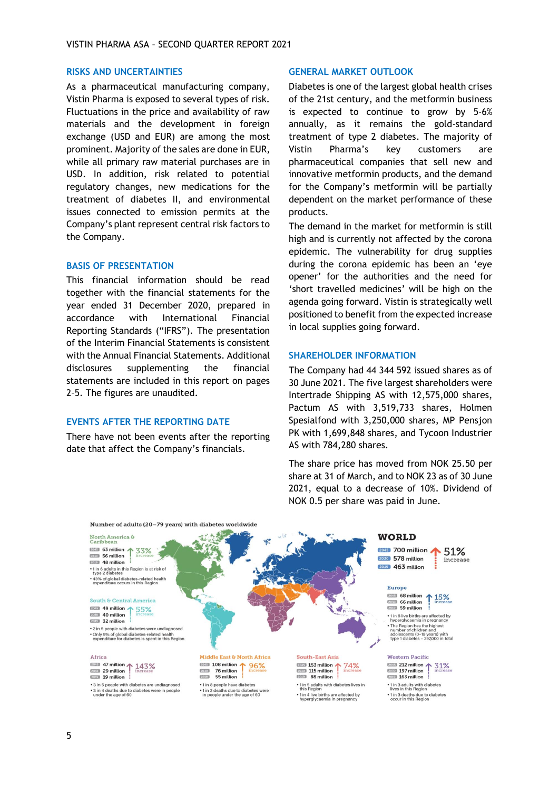## **RISKS AND UNCERTAINTIES**

As a pharmaceutical manufacturing company, Vistin Pharma is exposed to several types of risk. Fluctuations in the price and availability of raw materials and the development in foreign exchange (USD and EUR) are among the most prominent. Majority of the sales are done in EUR, while all primary raw material purchases are in USD. In addition, risk related to potential regulatory changes, new medications for the treatment of diabetes II, and environmental issues connected to emission permits at the Company's plant represent central risk factors to the Company.

#### **BASIS OF PRESENTATION**

This financial information should be read together with the financial statements for the year ended 31 December 2020, prepared in accordance with International Financial Reporting Standards ("IFRS"). The presentation of the Interim Financial Statements is consistent with the Annual Financial Statements. Additional disclosures supplementing the financial statements are included in this report on pages 2–5. The figures are unaudited.

#### **EVENTS AFTER THE REPORTING DATE**

There have not been events after the reporting date that affect the Company's financials.

#### **GENERAL MARKET OUTLOOK**

Diabetes is one of the largest global health crises of the 21st century, and the metformin business is expected to continue to grow by 5-6% annually, as it remains the gold-standard treatment of type 2 diabetes. The majority of Vistin Pharma's key customers are pharmaceutical companies that sell new and innovative metformin products, and the demand for the Company's metformin will be partially dependent on the market performance of these products.

The demand in the market for metformin is still high and is currently not affected by the corona epidemic. The vulnerability for drug supplies during the corona epidemic has been an 'eye opener' for the authorities and the need for 'short travelled medicines' will be high on the agenda going forward. Vistin is strategically well positioned to benefit from the expected increase in local supplies going forward.

### **SHAREHOLDER INFORMATION**

The Company had 44 344 592 issued shares as of 30 June 2021. The five largest shareholders were Intertrade Shipping AS with 12,575,000 shares, Pactum AS with 3,519,733 shares, Holmen Spesialfond with 3,250,000 shares, MP Pensjon PK with 1,699,848 shares, and Tycoon Industrier AS with 784,280 shares.

The share price has moved from NOK 25.50 per share at 31 of March, and to NOK 23 as of 30 June 2021, equal to a decrease of 10%. Dividend of NOK 0.5 per share was paid in June.

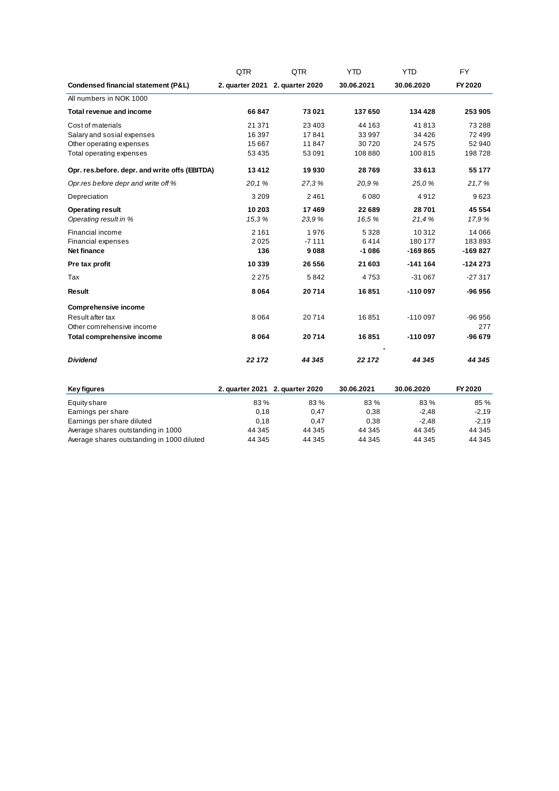|                                                | QTR     | QTR                             | <b>YTD</b> | YTD        | <b>FY</b> |
|------------------------------------------------|---------|---------------------------------|------------|------------|-----------|
| Condensed financial statement (P&L)            |         | 2. quarter 2021 2. quarter 2020 | 30.06.2021 | 30.06.2020 | FY 2020   |
| All numbers in NOK 1000                        |         |                                 |            |            |           |
| <b>Total revenue and income</b>                | 66847   | 73 0 21                         | 137 650    | 134 428    | 253 905   |
| Cost of materials                              | 21 371  | 23 4 03                         | 44 163     | 41813      | 73 288    |
| Salary and sosial expenses                     | 16 397  | 17841                           | 33 997     | 34 4 26    | 72 499    |
| Other operating expenses                       | 15 667  | 11847                           | 30720      | 24 5 7 5   | 52 940    |
| Total operating expenses                       | 53 4 35 | 53 091                          | 108 880    | 100 815    | 198728    |
| Opr. res.before. depr. and write offs (EBITDA) | 13 4 12 | 19930                           | 28769      | 33 613     | 55 177    |
| Opr.res before depr and write off %            | 20.1%   | 27.3%                           | 20.9%      | 25,0%      | 21,7%     |
| Depreciation                                   | 3 2 0 9 | 2461                            | 6080       | 4912       | 9623      |
| <b>Operating result</b>                        | 10 203  | 17469                           | 22 689     | 28701      | 45 554    |
| Operating result in %                          | 15,3%   | 23.9%                           | 16.5%      | 21,4%      | 17,9%     |
| Financial income                               | 2 1 6 1 | 1976                            | 5 3 2 8    | 10312      | 14 066    |
| <b>Financial expenses</b>                      | 2025    | $-7111$                         | 6414       | 180 177    | 183893    |
| <b>Net finance</b>                             | 136     | 9088                            | $-1086$    | $-169865$  | $-169827$ |
| Pre tax profit                                 | 10 339  | 26 556                          | 21 603     | $-141164$  | $-124273$ |
| Tax                                            | 2 2 7 5 | 5842                            | 4753       | $-31067$   | $-27317$  |
| <b>Result</b>                                  | 8 0 6 4 | 20714                           | 16851      | $-110097$  | -96 956   |
| <b>Comprehensive income</b>                    |         |                                 |            |            |           |
| Result after tax                               | 8 0 6 4 | 20714                           | 16851      | $-110097$  | $-96956$  |
| Other comrehensive income                      |         |                                 |            |            | 277       |
| <b>Total comprehensive income</b>              | 8 0 6 4 | 20714                           | 16851      | $-110097$  | $-96679$  |
| <b>Dividend</b>                                | 22 172  | 44 345                          | 22 172     | 44 345     | 44 345    |
| Key figures                                    |         | 2. quarter 2021 2. quarter 2020 | 30.06.2021 | 30.06.2020 | FY 2020   |

| Equity share                               | 83%    | 83%    | 83%    | 83%     | 85 %    |
|--------------------------------------------|--------|--------|--------|---------|---------|
| Earnings per share                         | 0.18   | 0.47   | 0.38   | $-2.48$ | $-2.19$ |
| Earnings per share diluted                 | 0.18   | 0.47   | 0.38   | $-2.48$ | $-2.19$ |
| Average shares outstanding in 1000         | 44 345 | 44 345 | 44 345 | 44 345  | 44 345  |
| Average shares outstanding in 1000 diluted | 44 345 | 44 345 | 44 345 | 44 345  | 44 345  |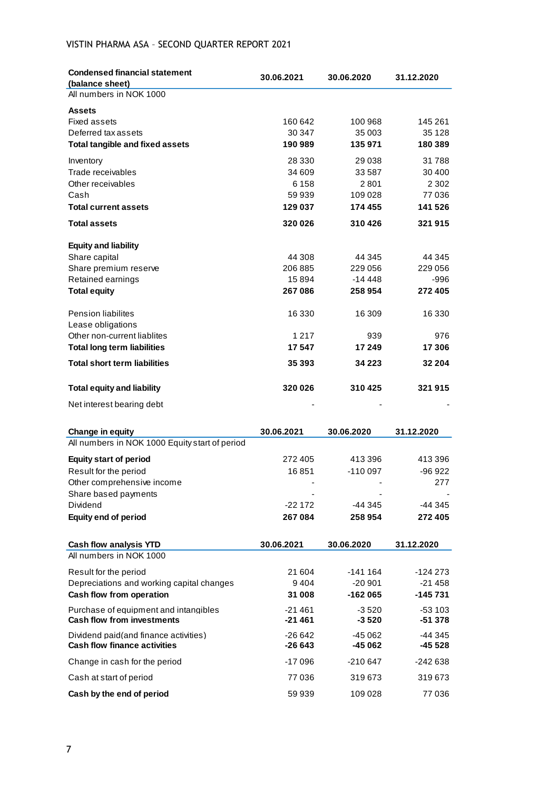# VISTIN PHARMA ASA – SECOND QUARTER REPORT 2021

| <b>Condensed financial statement</b><br>(balance sheet)                      | 30.06.2021          | 30.06.2020            | 31.12.2020           |
|------------------------------------------------------------------------------|---------------------|-----------------------|----------------------|
| All numbers in NOK 1000                                                      |                     |                       |                      |
| <b>Assets</b>                                                                |                     |                       |                      |
| Fixed assets                                                                 | 160 642             | 100 968               | 145 261              |
| Deferred tax assets                                                          | 30 347              | 35 003                | 35 1 28              |
| <b>Total tangible and fixed assets</b>                                       | 190989              | 135971                | 180 389              |
| Inventory                                                                    | 28 330              | 29 038                | 31788                |
| Trade receivables                                                            | 34 609              | 33 5 8 7              | 30 400               |
| Other receivables                                                            | 6 1 5 8             | 2801                  | 2 3 0 2              |
| Cash                                                                         | 59 939              | 109 028               | 77 036               |
| <b>Total current assets</b>                                                  | 129 037             | 174 455               | 141 526              |
| <b>Total assets</b>                                                          | 320026              | 310426                | 321 915              |
| <b>Equity and liability</b>                                                  |                     |                       |                      |
| Share capital                                                                | 44 308              | 44 345                | 44 345               |
| Share premium reserve                                                        | 206 885             | 229 056               | 229 056              |
| Retained earnings                                                            | 15894               | $-14448$              | -996                 |
| <b>Total equity</b>                                                          | 267 086             | 258 954               | 272 405              |
| <b>Pension liabilites</b>                                                    | 16 330              | 16 309                | 16 330               |
| Lease obligations                                                            |                     |                       |                      |
| Other non-current liablites                                                  | 1 2 1 7             | 939                   | 976                  |
| <b>Total long term liabilities</b>                                           | 17547               | 17 249                | 17 306               |
| <b>Total short term liabilities</b>                                          | 35 393              | 34 2 2 3              | 32 204               |
| <b>Total equity and liability</b>                                            | 320 026             | 310425                | 321915               |
| Net interest bearing debt                                                    |                     |                       |                      |
| Change in equity                                                             | 30.06.2021          | 30.06.2020            | 31.12.2020           |
| All numbers in NOK 1000 Equity start of period                               |                     |                       |                      |
| <b>Equity start of period</b>                                                | 272 405             | 413396                | 413 396              |
| Result for the period                                                        | 16851               | $-110097$             | $-96922$             |
| Other comprehensive income                                                   |                     |                       | 277                  |
| Share based payments                                                         |                     |                       |                      |
| Dividend                                                                     | $-22172$            | -44 345               | -44 345              |
| <b>Equity end of period</b>                                                  | 267 084             | 258 954               | 272 405              |
|                                                                              |                     |                       |                      |
| Cash flow analysis YTD<br>All numbers in NOK 1000                            | 30.06.2021          | 30.06.2020            | 31.12.2020           |
|                                                                              |                     |                       |                      |
| Result for the period<br>Depreciations and working capital changes           | 21 604              | $-141164$             | -124 273             |
| Cash flow from operation                                                     | 9404<br>31 008      | $-20901$<br>$-162065$ | $-21458$<br>-145 731 |
| Purchase of equipment and intangibles                                        | $-21461$            | $-3520$               | $-53103$             |
| <b>Cash flow from investments</b>                                            | $-21461$            | $-3520$               | $-51378$             |
| Dividend paid(and finance activities)<br><b>Cash flow finance activities</b> | $-26642$<br>-26 643 | $-45062$<br>-45 062   | -44 345<br>-45 528   |
| Change in cash for the period                                                | $-17096$            | -210 647              | -242 638             |
| Cash at start of period                                                      | 77 036              | 319673                | 319673               |
| Cash by the end of period                                                    | 59 939              | 109 028               | 77036                |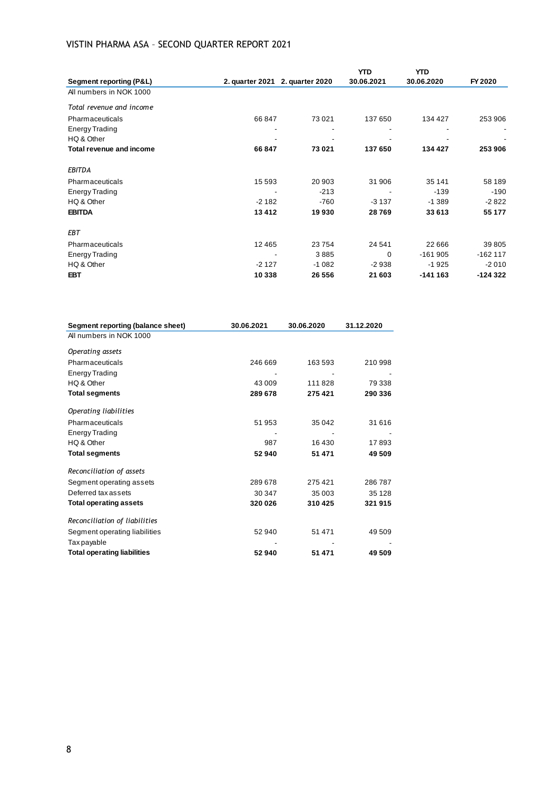# VISTIN PHARMA ASA – SECOND QUARTER REPORT 2021

| Segment reporting (P&L)  |          | 2. quarter 2021 2. quarter 2020 | <b>YTD</b><br>30.06.2021 | <b>YTD</b><br>30.06.2020 | FY 2020   |
|--------------------------|----------|---------------------------------|--------------------------|--------------------------|-----------|
| All numbers in NOK 1000  |          |                                 |                          |                          |           |
| Total revenue and income |          |                                 |                          |                          |           |
| Pharmaceuticals          | 66 847   | 73 0 21                         | 137 650                  | 134 427                  | 253 906   |
| <b>Energy Trading</b>    |          |                                 |                          |                          |           |
| HQ & Other               |          |                                 |                          |                          |           |
| Total revenue and income | 66847    | 73 021                          | 137 650                  | 134 427                  | 253 906   |
| <b>EBITDA</b>            |          |                                 |                          |                          |           |
| Pharmaceuticals          | 15 5 9 3 | 20 903                          | 31 906                   | 35 141                   | 58 189    |
| <b>Energy Trading</b>    |          | $-213$                          |                          | $-139$                   | $-190$    |
| HQ & Other               | $-2182$  | $-760$                          | $-3137$                  | $-1.389$                 | $-2822$   |
| <b>EBITDA</b>            | 13412    | 19930                           | 28769                    | 33 613                   | 55 177    |
| <b>EBT</b>               |          |                                 |                          |                          |           |
| Pharmaceuticals          | 12465    | 23754                           | 24 541                   | 22 6 6 6                 | 39 805    |
| <b>Energy Trading</b>    |          | 3885                            | $\Omega$                 | $-161905$                | $-162117$ |
| HQ & Other               | $-2127$  | $-1082$                         | $-2938$                  | $-1925$                  | $-2010$   |
| <b>EBT</b>               | 10 338   | 26 556                          | 21 603                   | $-141163$                | $-124322$ |

| Segment reporting (balance sheet)  | 30.06.2021 | 30.06.2020 | 31.12.2020 |
|------------------------------------|------------|------------|------------|
| All numbers in NOK 1000            |            |            |            |
| Operating assets                   |            |            |            |
| Pharmaceuticals                    | 246 669    | 163 593    | 210 998    |
| <b>Energy Trading</b>              |            |            |            |
| HQ & Other                         | 43 009     | 111828     | 79 338     |
| <b>Total segments</b>              | 289 678    | 275 421    | 290 336    |
| Operating liabilities              |            |            |            |
| Pharmaceuticals                    | 51 953     | 35 042     | 31 616     |
| <b>Energy Trading</b>              |            |            |            |
| HQ & Other                         | 987        | 16 430     | 17893      |
| <b>Total segments</b>              | 52 940     | 51 471     | 49 509     |
| Reconciliation of assets           |            |            |            |
| Segment operating assets           | 289 678    | 275 421    | 286787     |
| Deferred tax assets                | 30 347     | 35 003     | 35 1 28    |
| <b>Total operating assets</b>      | 320 026    | 310 425    | 321 915    |
| Reconciliation of liabilities      |            |            |            |
| Segment operating liabilities      | 52 940     | 51 471     | 49 509     |
| Tax payable                        |            |            |            |
| <b>Total operating liabilities</b> | 52940      | 51 471     | 49 509     |